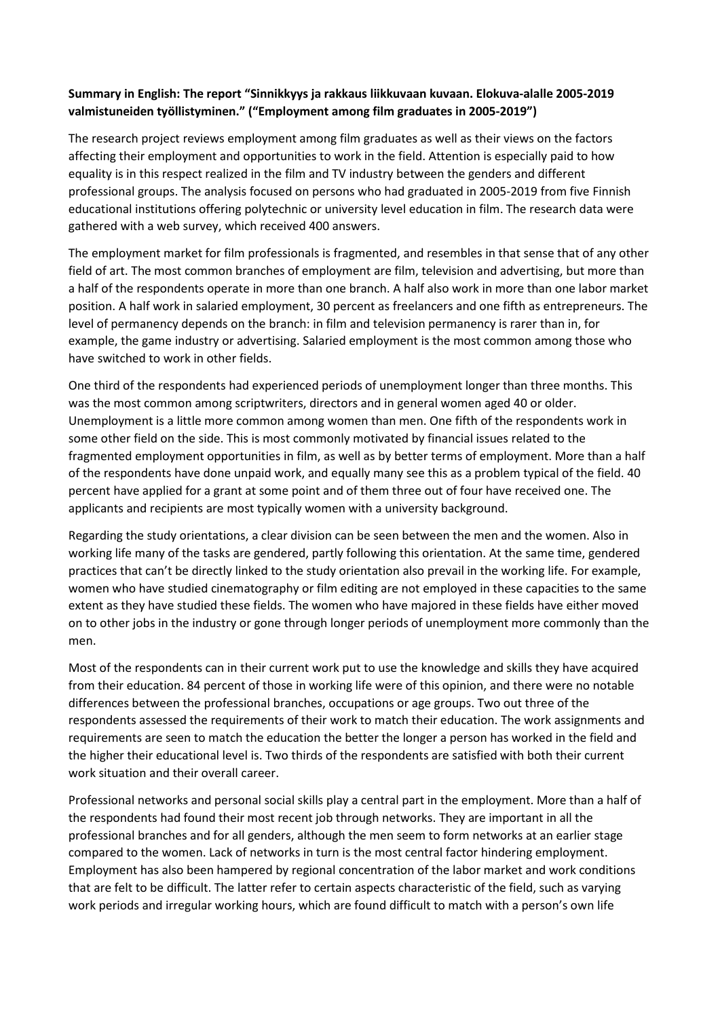## **Summary in English: The report "Sinnikkyys ja rakkaus liikkuvaan kuvaan. Elokuva-alalle 2005-2019 valmistuneiden työllistyminen." ("Employment among film graduates in 2005-2019")**

The research project reviews employment among film graduates as well as their views on the factors affecting their employment and opportunities to work in the field. Attention is especially paid to how equality is in this respect realized in the film and TV industry between the genders and different professional groups. The analysis focused on persons who had graduated in 2005-2019 from five Finnish educational institutions offering polytechnic or university level education in film. The research data were gathered with a web survey, which received 400 answers.

The employment market for film professionals is fragmented, and resembles in that sense that of any other field of art. The most common branches of employment are film, television and advertising, but more than a half of the respondents operate in more than one branch. A half also work in more than one labor market position. A half work in salaried employment, 30 percent as freelancers and one fifth as entrepreneurs. The level of permanency depends on the branch: in film and television permanency is rarer than in, for example, the game industry or advertising. Salaried employment is the most common among those who have switched to work in other fields.

One third of the respondents had experienced periods of unemployment longer than three months. This was the most common among scriptwriters, directors and in general women aged 40 or older. Unemployment is a little more common among women than men. One fifth of the respondents work in some other field on the side. This is most commonly motivated by financial issues related to the fragmented employment opportunities in film, as well as by better terms of employment. More than a half of the respondents have done unpaid work, and equally many see this as a problem typical of the field. 40 percent have applied for a grant at some point and of them three out of four have received one. The applicants and recipients are most typically women with a university background.

Regarding the study orientations, a clear division can be seen between the men and the women. Also in working life many of the tasks are gendered, partly following this orientation. At the same time, gendered practices that can't be directly linked to the study orientation also prevail in the working life. For example, women who have studied cinematography or film editing are not employed in these capacities to the same extent as they have studied these fields. The women who have majored in these fields have either moved on to other jobs in the industry or gone through longer periods of unemployment more commonly than the men.

Most of the respondents can in their current work put to use the knowledge and skills they have acquired from their education. 84 percent of those in working life were of this opinion, and there were no notable differences between the professional branches, occupations or age groups. Two out three of the respondents assessed the requirements of their work to match their education. The work assignments and requirements are seen to match the education the better the longer a person has worked in the field and the higher their educational level is. Two thirds of the respondents are satisfied with both their current work situation and their overall career.

Professional networks and personal social skills play a central part in the employment. More than a half of the respondents had found their most recent job through networks. They are important in all the professional branches and for all genders, although the men seem to form networks at an earlier stage compared to the women. Lack of networks in turn is the most central factor hindering employment. Employment has also been hampered by regional concentration of the labor market and work conditions that are felt to be difficult. The latter refer to certain aspects characteristic of the field, such as varying work periods and irregular working hours, which are found difficult to match with a person's own life